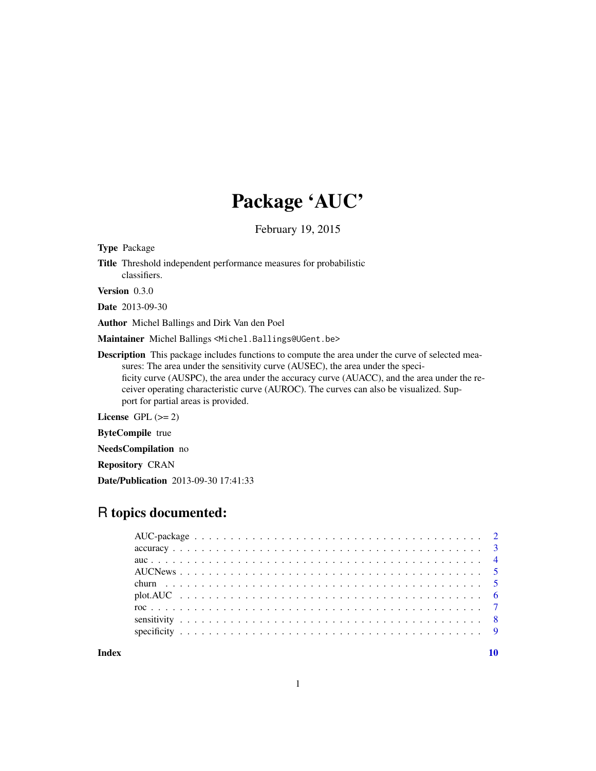# Package 'AUC'

February 19, 2015

<span id="page-0-0"></span>Type Package

Title Threshold independent performance measures for probabilistic classifiers.

Version 0.3.0

Date 2013-09-30

Author Michel Ballings and Dirk Van den Poel

Maintainer Michel Ballings <Michel.Ballings@UGent.be>

Description This package includes functions to compute the area under the curve of selected measures: The area under the sensitivity curve (AUSEC), the area under the specificity curve (AUSPC), the area under the accuracy curve (AUACC), and the area under the receiver operating characteristic curve (AUROC). The curves can also be visualized. Support for partial areas is provided.

License  $GPL (= 2)$ 

ByteCompile true

NeedsCompilation no

Repository CRAN

Date/Publication 2013-09-30 17:41:33

# R topics documented:

 $\blacksquare$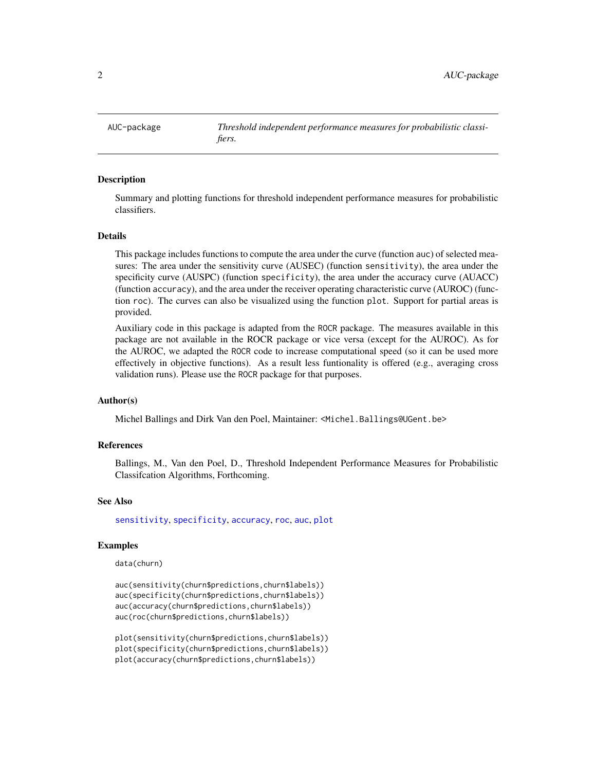<span id="page-1-0"></span>AUC-package *Threshold independent performance measures for probabilistic classifiers.*

#### Description

Summary and plotting functions for threshold independent performance measures for probabilistic classifiers.

#### Details

This package includes functions to compute the area under the curve (function auc) of selected measures: The area under the sensitivity curve (AUSEC) (function sensitivity), the area under the specificity curve (AUSPC) (function specificity), the area under the accuracy curve (AUACC) (function accuracy), and the area under the receiver operating characteristic curve (AUROC) (function roc). The curves can also be visualized using the function plot. Support for partial areas is provided.

Auxiliary code in this package is adapted from the ROCR package. The measures available in this package are not available in the ROCR package or vice versa (except for the AUROC). As for the AUROC, we adapted the ROCR code to increase computational speed (so it can be used more effectively in objective functions). As a result less funtionality is offered (e.g., averaging cross validation runs). Please use the ROCR package for that purposes.

#### Author(s)

Michel Ballings and Dirk Van den Poel, Maintainer: <Michel.Ballings@UGent.be>

#### References

Ballings, M., Van den Poel, D., Threshold Independent Performance Measures for Probabilistic Classifcation Algorithms, Forthcoming.

#### See Also

[sensitivity](#page-7-1), [specificity](#page-8-1), [accuracy](#page-2-1), [roc](#page-6-1), [auc](#page-3-1), [plot](#page-0-0)

#### Examples

data(churn)

```
auc(sensitivity(churn$predictions,churn$labels))
auc(specificity(churn$predictions,churn$labels))
auc(accuracy(churn$predictions,churn$labels))
auc(roc(churn$predictions,churn$labels))
```

```
plot(sensitivity(churn$predictions,churn$labels))
plot(specificity(churn$predictions,churn$labels))
plot(accuracy(churn$predictions,churn$labels))
```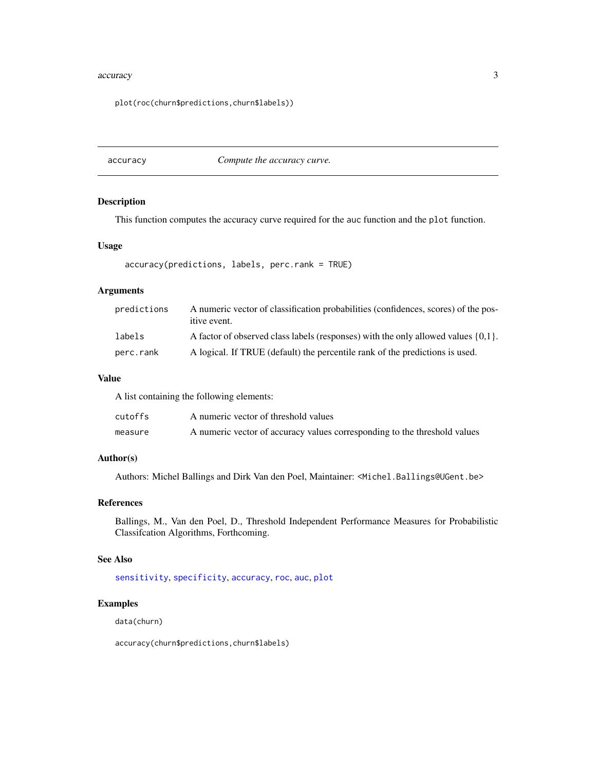#### <span id="page-2-0"></span>accuracy 3

plot(roc(churn\$predictions,churn\$labels))

<span id="page-2-1"></span>accuracy *Compute the accuracy curve.*

# Description

This function computes the accuracy curve required for the auc function and the plot function.

# Usage

```
accuracy(predictions, labels, perc.rank = TRUE)
```
# Arguments

| predictions | A numeric vector of classification probabilities (confidences, scores) of the pos-<br><i>itive event.</i> |
|-------------|-----------------------------------------------------------------------------------------------------------|
| labels      | A factor of observed class labels (responses) with the only allowed values $\{0,1\}$ .                    |
| perc.rank   | A logical. If TRUE (default) the percentile rank of the predictions is used.                              |

## Value

A list containing the following elements:

| cutoffs | A numeric vector of threshold values                                      |
|---------|---------------------------------------------------------------------------|
| measure | A numeric vector of accuracy values corresponding to the threshold values |

# Author(s)

Authors: Michel Ballings and Dirk Van den Poel, Maintainer: <Michel.Ballings@UGent.be>

# References

Ballings, M., Van den Poel, D., Threshold Independent Performance Measures for Probabilistic Classifcation Algorithms, Forthcoming.

# See Also

[sensitivity](#page-7-1), [specificity](#page-8-1), [accuracy](#page-2-1), [roc](#page-6-1), [auc](#page-3-1), [plot](#page-0-0)

#### Examples

data(churn)

accuracy(churn\$predictions,churn\$labels)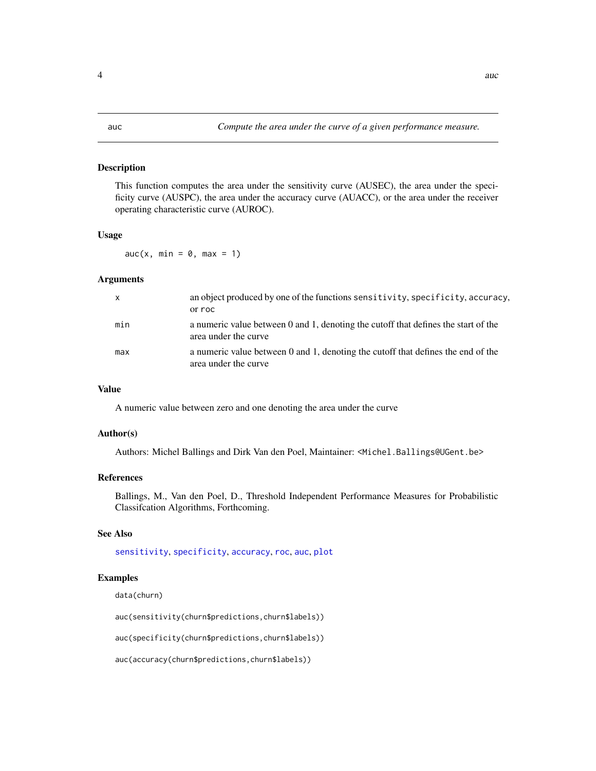#### <span id="page-3-1"></span><span id="page-3-0"></span>Description

This function computes the area under the sensitivity curve (AUSEC), the area under the specificity curve (AUSPC), the area under the accuracy curve (AUACC), or the area under the receiver operating characteristic curve (AUROC).

#### Usage

 $auc(x, min = 0, max = 1)$ 

#### Arguments

| $\mathbf{x}$ | an object produced by one of the functions sensitivity, specificity, accuracy,<br>or roc                      |
|--------------|---------------------------------------------------------------------------------------------------------------|
| min          | a numeric value between 0 and 1, denoting the cutoff that defines the start of the<br>area under the curve    |
| max          | a numeric value between $0$ and $1$ , denoting the cutoff that defines the end of the<br>area under the curve |

#### Value

A numeric value between zero and one denoting the area under the curve

#### Author(s)

Authors: Michel Ballings and Dirk Van den Poel, Maintainer: <Michel.Ballings@UGent.be>

#### References

Ballings, M., Van den Poel, D., Threshold Independent Performance Measures for Probabilistic Classifcation Algorithms, Forthcoming.

#### See Also

[sensitivity](#page-7-1), [specificity](#page-8-1), [accuracy](#page-2-1), [roc](#page-6-1), [auc](#page-3-1), [plot](#page-0-0)

# Examples

data(churn)

auc(sensitivity(churn\$predictions,churn\$labels))

auc(specificity(churn\$predictions,churn\$labels))

auc(accuracy(churn\$predictions,churn\$labels))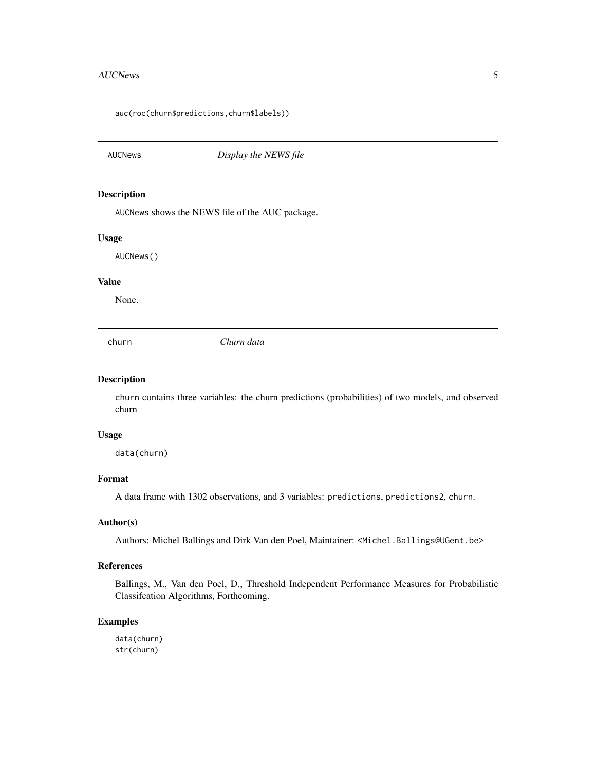#### <span id="page-4-0"></span>AUCNews 5

auc(roc(churn\$predictions,churn\$labels))

AUCNews *Display the NEWS file*

# Description

AUCNews shows the NEWS file of the AUC package.

# Usage

AUCNews()

# Value

None.

churn *Churn data*

# Description

churn contains three variables: the churn predictions (probabilities) of two models, and observed churn

#### Usage

data(churn)

# Format

A data frame with 1302 observations, and 3 variables: predictions, predictions2, churn.

# Author(s)

Authors: Michel Ballings and Dirk Van den Poel, Maintainer: <Michel.Ballings@UGent.be>

#### References

Ballings, M., Van den Poel, D., Threshold Independent Performance Measures for Probabilistic Classifcation Algorithms, Forthcoming.

# Examples

data(churn) str(churn)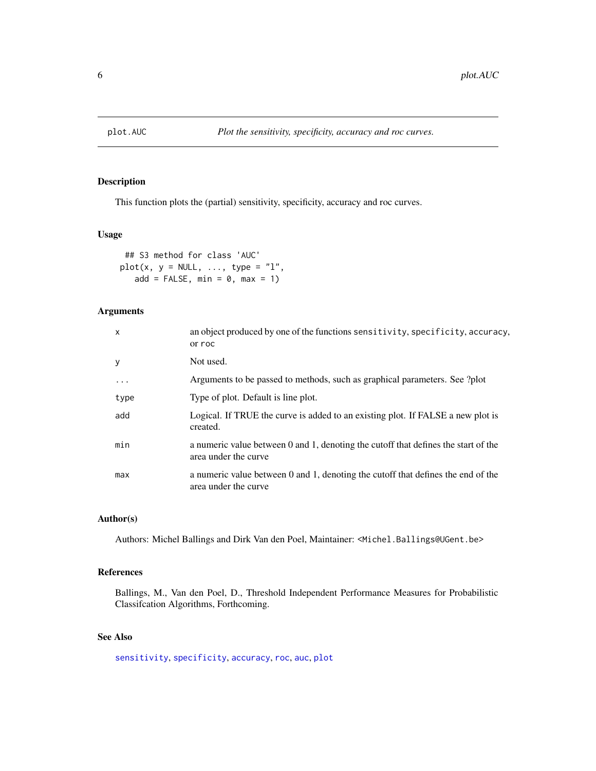<span id="page-5-0"></span>

# Description

This function plots the (partial) sensitivity, specificity, accuracy and roc curves.

# Usage

```
## S3 method for class 'AUC'
plot(x, y = NULL, ..., type = "l",add = FALSE, min = 0, max = 1)
```
# Arguments

| $\mathsf{x}$ | an object produced by one of the functions sensitivity, specificity, accuracy,<br>or roc                   |
|--------------|------------------------------------------------------------------------------------------------------------|
| У            | Not used.                                                                                                  |
| .            | Arguments to be passed to methods, such as graphical parameters. See ?plot                                 |
| type         | Type of plot. Default is line plot.                                                                        |
| add          | Logical. If TRUE the curve is added to an existing plot. If FALSE a new plot is<br>created.                |
| min          | a numeric value between 0 and 1, denoting the cutoff that defines the start of the<br>area under the curve |
| max          | a numeric value between 0 and 1, denoting the cutoff that defines the end of the<br>area under the curve   |

# Author(s)

Authors: Michel Ballings and Dirk Van den Poel, Maintainer: <Michel.Ballings@UGent.be>

# References

Ballings, M., Van den Poel, D., Threshold Independent Performance Measures for Probabilistic Classifcation Algorithms, Forthcoming.

# See Also

[sensitivity](#page-7-1), [specificity](#page-8-1), [accuracy](#page-2-1), [roc](#page-6-1), [auc](#page-3-1), [plot](#page-0-0)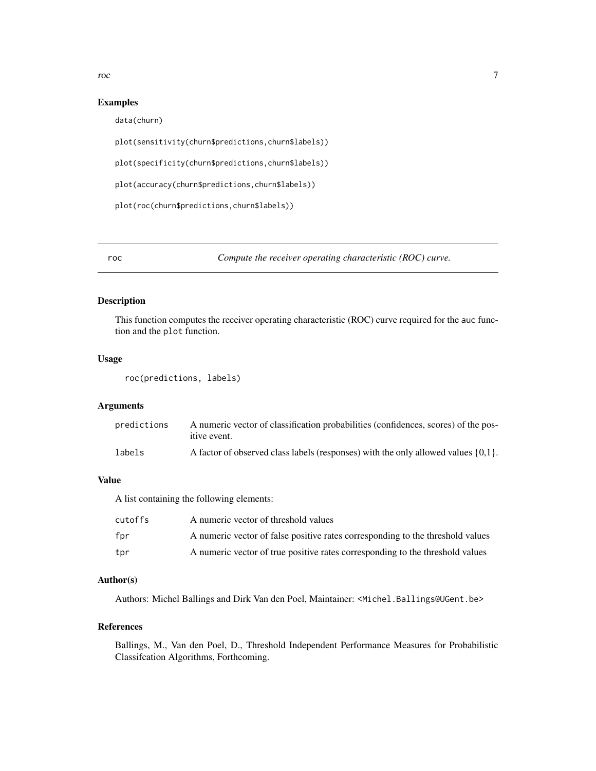<span id="page-6-0"></span>roc  $\overline{7}$ 

#### Examples

data(churn)

plot(sensitivity(churn\$predictions,churn\$labels))

plot(specificity(churn\$predictions,churn\$labels))

```
plot(accuracy(churn$predictions,churn$labels))
```
plot(roc(churn\$predictions,churn\$labels))

<span id="page-6-1"></span>roc *Compute the receiver operating characteristic (ROC) curve.*

# Description

This function computes the receiver operating characteristic (ROC) curve required for the auc function and the plot function.

# Usage

```
roc(predictions, labels)
```
# Arguments

| predictions | A numeric vector of classification probabilities (confidences, scores) of the pos-<br><i>itive event.</i> |
|-------------|-----------------------------------------------------------------------------------------------------------|
| labels      | A factor of observed class labels (responses) with the only allowed values $\{0,1\}$ .                    |

#### Value

A list containing the following elements:

| cutoffs | A numeric vector of threshold values                                           |
|---------|--------------------------------------------------------------------------------|
| fpr     | A numeric vector of false positive rates corresponding to the threshold values |
| tpr     | A numeric vector of true positive rates corresponding to the threshold values  |

#### Author(s)

Authors: Michel Ballings and Dirk Van den Poel, Maintainer: <Michel.Ballings@UGent.be>

# References

Ballings, M., Van den Poel, D., Threshold Independent Performance Measures for Probabilistic Classifcation Algorithms, Forthcoming.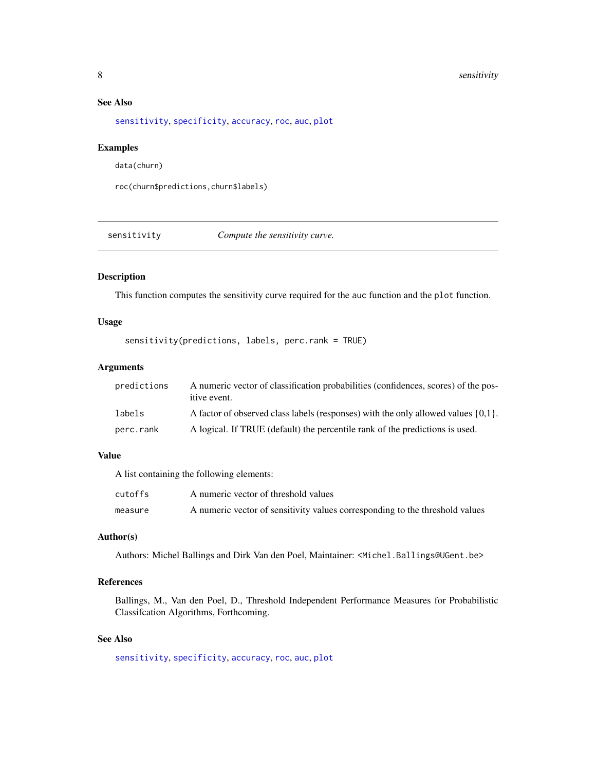# <span id="page-7-0"></span>8 sensitivity

# See Also

[sensitivity](#page-7-1), [specificity](#page-8-1), [accuracy](#page-2-1), [roc](#page-6-1), [auc](#page-3-1), [plot](#page-0-0)

# Examples

data(churn)

roc(churn\$predictions,churn\$labels)

<span id="page-7-1"></span>sensitivity *Compute the sensitivity curve.*

#### Description

This function computes the sensitivity curve required for the auc function and the plot function.

# Usage

sensitivity(predictions, labels, perc.rank = TRUE)

# Arguments

| predictions | A numeric vector of classification probabilities (confidences, scores) of the pos-<br><i>itive event.</i> |
|-------------|-----------------------------------------------------------------------------------------------------------|
| labels      | A factor of observed class labels (responses) with the only allowed values $\{0,1\}$ .                    |
| perc.rank   | A logical. If TRUE (default) the percentile rank of the predictions is used.                              |

# Value

A list containing the following elements:

| cutoffs | A numeric vector of threshold values                                         |
|---------|------------------------------------------------------------------------------|
| measure | A numeric vector of sensitivity values corresponding to the threshold values |

#### Author(s)

Authors: Michel Ballings and Dirk Van den Poel, Maintainer: <Michel.Ballings@UGent.be>

# References

Ballings, M., Van den Poel, D., Threshold Independent Performance Measures for Probabilistic Classifcation Algorithms, Forthcoming.

# See Also

[sensitivity](#page-7-1), [specificity](#page-8-1), [accuracy](#page-2-1), [roc](#page-6-1), [auc](#page-3-1), [plot](#page-0-0)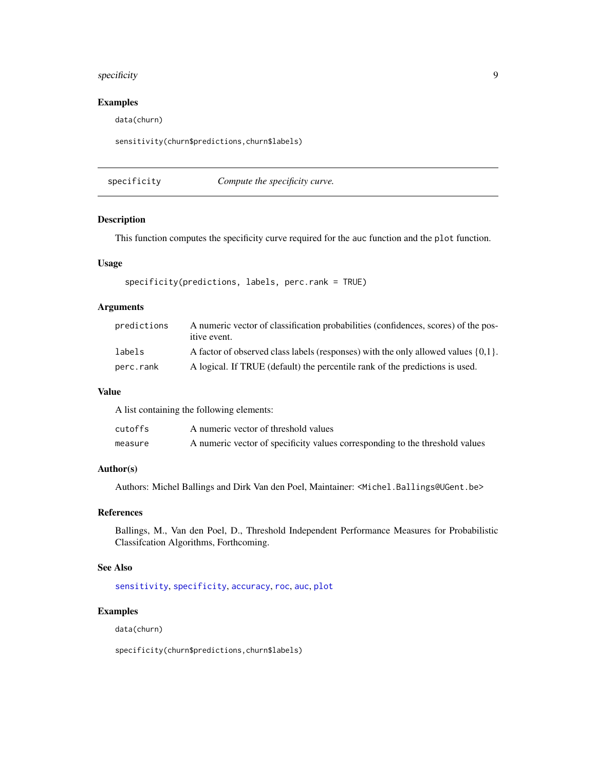# <span id="page-8-0"></span>specificity 9

# Examples

data(churn)

```
sensitivity(churn$predictions,churn$labels)
```
<span id="page-8-1"></span>

| specificity | Compute the specificity curve. |
|-------------|--------------------------------|
|             |                                |

#### Description

This function computes the specificity curve required for the auc function and the plot function.

# Usage

```
specificity(predictions, labels, perc.rank = TRUE)
```
# Arguments

| predictions | A numeric vector of classification probabilities (confidences, scores) of the pos-<br><i>itive event.</i> |
|-------------|-----------------------------------------------------------------------------------------------------------|
| labels      | A factor of observed class labels (responses) with the only allowed values $\{0,1\}$ .                    |
| perc.rank   | A logical. If TRUE (default) the percentile rank of the predictions is used.                              |

# Value

A list containing the following elements:

| cutoffs | A numeric vector of threshold values                                         |
|---------|------------------------------------------------------------------------------|
| measure | A numeric vector of specificity values corresponding to the threshold values |

# Author(s)

Authors: Michel Ballings and Dirk Van den Poel, Maintainer: <Michel.Ballings@UGent.be>

# References

Ballings, M., Van den Poel, D., Threshold Independent Performance Measures for Probabilistic Classifcation Algorithms, Forthcoming.

#### See Also

[sensitivity](#page-7-1), [specificity](#page-8-1), [accuracy](#page-2-1), [roc](#page-6-1), [auc](#page-3-1), [plot](#page-0-0)

# Examples

data(churn)

specificity(churn\$predictions,churn\$labels)